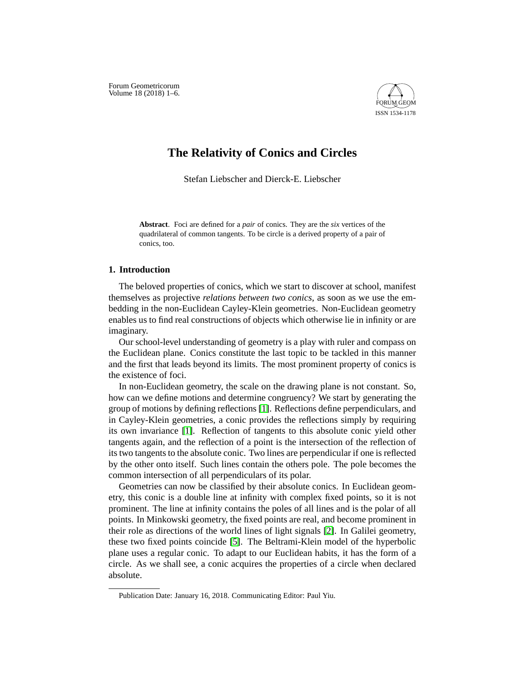Forum Geometricorum Volume  $18(2018)$  1-6.



# **The Relativity of Conics and Circles**

Stefan Liebscher and Dierck-E. Liebscher

**Abstract**. Foci are defined for a *pair* of conics. They are the *six* vertices of the quadrilateral of common tangents. To be circle is a derived property of a pair of conics, too.

### **1. Introduction**

The beloved properties of conics, which we start to discover at school, manifest themselves as projective *relations between two conics*, as soon as we use the embedding in the non-Euclidean Cayley-Klein geometries. Non-Euclidean geometry enables us to find real constructions of objects which otherwise lie in infinity or are imaginary.

Our school-level understanding of geometry is a play with ruler and compass on the Euclidean plane. Conics constitute the last topic to be tackled in this manner and the first that leads beyond its limits. The most prominent property of conics is the existence of foci.

In non-Euclidean geometry, the scale on the drawing plane is not constant. So, how can we define motions and determine congruency? We start by generating the group of motions by defining reflections [\[1\]](#page-5-0). Reflections define perpendiculars, and in Cayley-Klein geometries, a conic provides the reflections simply by requiring its own invariance [\[1\]](#page-5-0). Reflection of tangents to this absolute conic yield other tangents again, and the reflection of a point is the intersection of the reflection of its two tangents to the absolute conic. Two lines are perpendicular if one is reflected by the other onto itself. Such lines contain the others pole. The pole becomes the common intersection of all perpendiculars of its polar.

Geometries can now be classified by their absolute conics. In Euclidean geometry, this conic is a double line at infinity with complex fixed points, so it is not prominent. The line at infinity contains the poles of all lines and is the polar of all points. In Minkowski geometry, the fixed points are real, and become prominent in their role as directions of the world lines of light signals [\[2\]](#page-5-1). In Galilei geometry, these two fixed points coincide [\[5\]](#page-5-2). The Beltrami-Klein model of the hyperbolic plane uses a regular conic. To adapt to our Euclidean habits, it has the form of a circle. As we shall see, a conic acquires the properties of a circle when declared absolute.

Publication Date: January 16, 2018. Communicating Editor: Paul Yiu.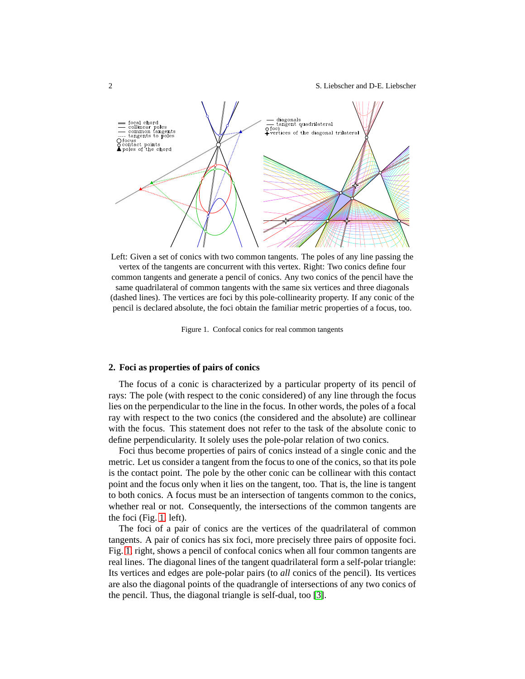2 S. Liebscher and D-E. Liebscher



Left: Given a set of conics with two common tangents. The poles of any line passing the vertex of the tangents are concurrent with this vertex. Right: Two conics define four common tangents and generate a pencil of conics. Any two conics of the pencil have the same quadrilateral of common tangents with the same six vertices and three diagonals (dashed lines). The vertices are foci by this pole-collinearity property. If any conic of the pencil is declared absolute, the foci obtain the familiar metric properties of a focus, too.

<span id="page-1-0"></span>Figure 1. Confocal conics for real common tangents

#### **2. Foci as properties of pairs of conics**

The focus of a conic is characterized by a particular property of its pencil of rays: The pole (with respect to the conic considered) of any line through the focus lies on the perpendicular to the line in the focus. In other words, the poles of a focal ray with respect to the two conics (the considered and the absolute) are collinear with the focus. This statement does not refer to the task of the absolute conic to define perpendicularity. It solely uses the pole-polar relation of two conics.

Foci thus become properties of pairs of conics instead of a single conic and the metric. Let us consider a tangent from the focus to one of the conics, so that its pole is the contact point. The pole by the other conic can be collinear with this contact point and the focus only when it lies on the tangent, too. That is, the line is tangent to both conics. A focus must be an intersection of tangents common to the conics, whether real or not. Consequently, the intersections of the common tangents are the foci (Fig. [1,](#page-1-0) left).

The foci of a pair of conics are the vertices of the quadrilateral of common tangents. A pair of conics has six foci, more precisely three pairs of opposite foci. Fig. [1,](#page-1-0) right, shows a pencil of confocal conics when all four common tangents are real lines. The diagonal lines of the tangent quadrilateral form a self-polar triangle: Its vertices and edges are pole-polar pairs (to *all* conics of the pencil). Its vertices are also the diagonal points of the quadrangle of intersections of any two conics of the pencil. Thus, the diagonal triangle is self-dual, too [\[3\]](#page-5-3).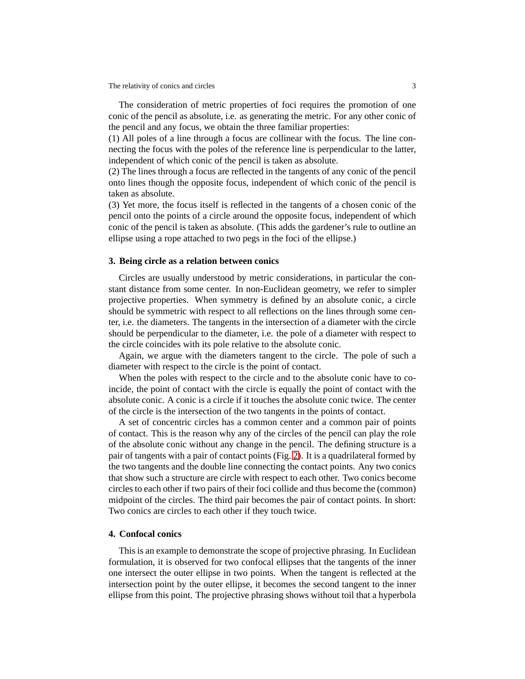The relativity of conics and circles 3

The consideration of metric properties of foci requires the promotion of one conic of the pencil as absolute, i.e. as generating the metric. For any other conic of the pencil and any focus, we obtain the three familiar properties:

(1) All poles of a line through a focus are collinear with the focus. The line connecting the focus with the poles of the reference line is perpendicular to the latter, independent of which conic of the pencil is taken as absolute.

(2) The lines through a focus are reflected in the tangents of any conic of the pencil onto lines though the opposite focus, independent of which conic of the pencil is taken as absolute.

(3) Yet more, the focus itself is reflected in the tangents of a chosen conic of the pencil onto the points of a circle around the opposite focus, independent of which conic of the pencil is taken as absolute. (This adds the gardener's rule to outline an ellipse using a rope attached to two pegs in the foci of the ellipse.)

#### **3. Being circle as a relation between conics**

Circles are usually understood by metric considerations, in particular the constant distance from some center. In non-Euclidean geometry, we refer to simpler projective properties. When symmetry is defined by an absolute conic, a circle should be symmetric with respect to all reflections on the lines through some center, i.e. the diameters. The tangents in the intersection of a diameter with the circle should be perpendicular to the diameter, i.e. the pole of a diameter with respect to the circle coincides with its pole relative to the absolute conic.

Again, we argue with the diameters tangent to the circle. The pole of such a diameter with respect to the circle is the point of contact.

When the poles with respect to the circle and to the absolute conic have to coincide, the point of contact with the circle is equally the point of contact with the absolute conic. A conic is a circle if it touches the absolute conic twice. The center of the circle is the intersection of the two tangents in the points of contact.

A set of concentric circles has a common center and a common pair of points of contact. This is the reason why any of the circles of the pencil can play the role of the absolute conic without any change in the pencil. The defining structure is a pair of tangents with a pair of contact points (Fig. [2\)](#page-3-0). It is a quadrilateral formed by the two tangents and the double line connecting the contact points. Any two conics that show such a structure are circle with respect to each other. Two conics become circles to each other if two pairs of their foci collide and thus become the (common) midpoint of the circles. The third pair becomes the pair of contact points. In short: Two conics are circles to each other if they touch twice.

#### **4. Confocal conics**

This is an example to demonstrate the scope of projective phrasing. In Euclidean formulation, it is observed for two confocal ellipses that the tangents of the inner one intersect the outer ellipse in two points. When the tangent is reflected at the intersection point by the outer ellipse, it becomes the second tangent to the inner ellipse from this point. The projective phrasing shows without toil that a hyperbola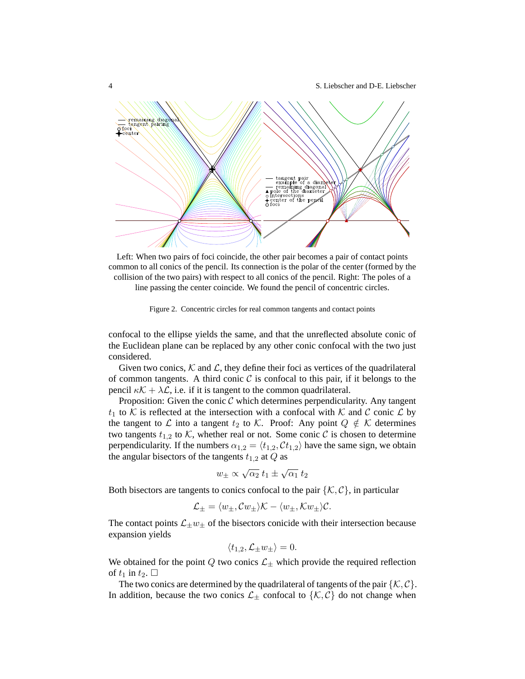4 S. Liebscher and D-E. Liebscher



Left: When two pairs of foci coincide, the other pair becomes a pair of contact points common to all conics of the pencil. Its connection is the polar of the center (formed by the collision of the two pairs) with respect to all conics of the pencil. Right: The poles of a line passing the center coincide. We found the pencil of concentric circles.

<span id="page-3-0"></span>Figure 2. Concentric circles for real common tangents and contact points

confocal to the ellipse yields the same, and that the unreflected absolute conic of the Euclidean plane can be replaced by any other conic confocal with the two just considered.

Given two conics,  $K$  and  $\mathcal{L}$ , they define their foci as vertices of the quadrilateral of common tangents. A third conic  $\mathcal C$  is confocal to this pair, if it belongs to the pencil  $\kappa \mathcal{K} + \lambda \mathcal{L}$ , i.e. if it is tangent to the common quadrilateral.

Proposition: Given the conic  $C$  which determines perpendicularity. Any tangent  $t_1$  to K is reflected at the intersection with a confocal with K and C conic L by the tangent to  $\mathcal L$  into a tangent  $t_2$  to  $\mathcal K$ . Proof: Any point  $Q \notin \mathcal K$  determines two tangents  $t_{1,2}$  to  $K$ , whether real or not. Some conic  $C$  is chosen to determine perpendicularity. If the numbers  $\alpha_{1,2} = \langle t_{1,2}, C t_{1,2} \rangle$  have the same sign, we obtain the angular bisectors of the tangents  $t_{1,2}$  at  $Q$  as

$$
w_{\pm} \propto \sqrt{\alpha_2} \; t_1 \pm \sqrt{\alpha_1} \; t_2
$$

Both bisectors are tangents to conics confocal to the pair  $\{\mathcal{K}, \mathcal{C}\}\$ , in particular

$$
\mathcal{L}_{\pm} = \langle w_{\pm}, Cw_{\pm} \rangle \mathcal{K} - \langle w_{\pm}, Kw_{\pm} \rangle \mathcal{C}.
$$

The contact points  $\mathcal{L}_{\pm}w_{\pm}$  of the bisectors conicide with their intersection because expansion yields

$$
\langle t_{1,2}, \mathcal{L}_\pm w_\pm \rangle = 0.
$$

We obtained for the point Q two conics  $\mathcal{L}_\pm$  which provide the required reflection of  $t_1$  in  $t_2$ .  $\Box$ 

The two conics are determined by the quadrilateral of tangents of the pair  $\{\mathcal{K}, \mathcal{C}\}.$ In addition, because the two conics  $\mathcal{L}_\pm$  confocal to  $\{\mathcal{K}, \mathcal{C}\}\$  do not change when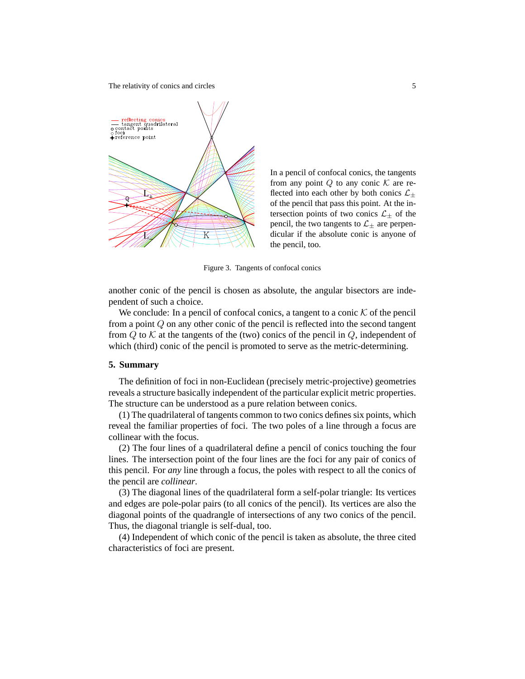The relativity of conics and circles 5



In a pencil of confocal conics, the tangents from any point  $Q$  to any conic  $K$  are reflected into each other by both conics  $\mathcal{L}_{\pm}$ of the pencil that pass this point. At the intersection points of two conics  $\mathcal{L}_{\pm}$  of the pencil, the two tangents to  $\mathcal{L}_{\pm}$  are perpendicular if the absolute conic is anyone of the pencil, too.

Figure 3. Tangents of confocal conics

another conic of the pencil is chosen as absolute, the angular bisectors are independent of such a choice.

We conclude: In a pencil of confocal conics, a tangent to a conic  $K$  of the pencil from a point Q on any other conic of the pencil is reflected into the second tangent from  $Q$  to  $K$  at the tangents of the (two) conics of the pencil in  $Q$ , independent of which (third) conic of the pencil is promoted to serve as the metric-determining.

#### **5. Summary**

The definition of foci in non-Euclidean (precisely metric-projective) geometries reveals a structure basically independent of the particular explicit metric properties. The structure can be understood as a pure relation between conics.

(1) The quadrilateral of tangents common to two conics defines six points, which reveal the familiar properties of foci. The two poles of a line through a focus are collinear with the focus.

(2) The four lines of a quadrilateral define a pencil of conics touching the four lines. The intersection point of the four lines are the foci for any pair of conics of this pencil. For *any* line through a focus, the poles with respect to all the conics of the pencil are *collinear*.

(3) The diagonal lines of the quadrilateral form a self-polar triangle: Its vertices and edges are pole-polar pairs (to all conics of the pencil). Its vertices are also the diagonal points of the quadrangle of intersections of any two conics of the pencil. Thus, the diagonal triangle is self-dual, too.

(4) Independent of which conic of the pencil is taken as absolute, the three cited characteristics of foci are present.